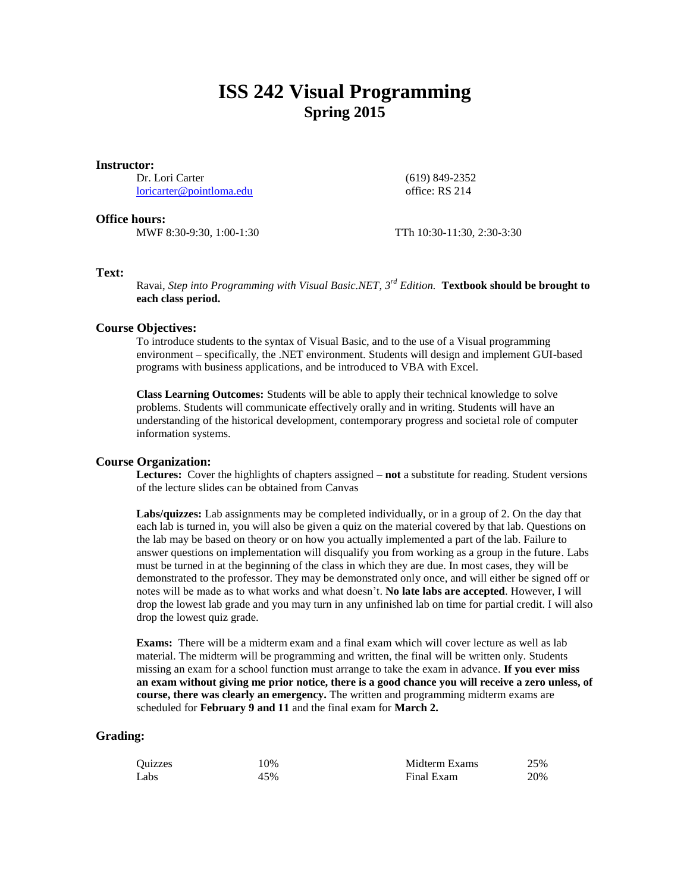# **ISS 242 Visual Programming Spring 2015**

#### **Instructor:**

Dr. Lori Carter [loricarter@pointloma.edu](mailto:loricarter@pointloma.edu) (619) 849-2352 office: RS 214

## **Office hours:**

MWF 8:30-9:30, 1:00-1:30 TTh 10:30-11:30, 2:30-3:30

# **Text:**

Ravai, *Step into Programming with Visual Basic.NET*, *3 rd Edition.* **Textbook should be brought to each class period.**

# **Course Objectives:**

To introduce students to the syntax of Visual Basic, and to the use of a Visual programming environment – specifically, the .NET environment. Students will design and implement GUI-based programs with business applications, and be introduced to VBA with Excel.

**Class Learning Outcomes:** Students will be able to apply their technical knowledge to solve problems. Students will communicate effectively orally and in writing. Students will have an understanding of the historical development, contemporary progress and societal role of computer information systems.

# **Course Organization:**

**Lectures:** Cover the highlights of chapters assigned – **not** a substitute for reading. Student versions of the lecture slides can be obtained from Canvas

**Labs/quizzes:** Lab assignments may be completed individually, or in a group of 2. On the day that each lab is turned in, you will also be given a quiz on the material covered by that lab. Questions on the lab may be based on theory or on how you actually implemented a part of the lab. Failure to answer questions on implementation will disqualify you from working as a group in the future. Labs must be turned in at the beginning of the class in which they are due. In most cases, they will be demonstrated to the professor. They may be demonstrated only once, and will either be signed off or notes will be made as to what works and what doesn't. **No late labs are accepted**. However, I will drop the lowest lab grade and you may turn in any unfinished lab on time for partial credit. I will also drop the lowest quiz grade.

**Exams:** There will be a midterm exam and a final exam which will cover lecture as well as lab material. The midterm will be programming and written, the final will be written only. Students missing an exam for a school function must arrange to take the exam in advance. **If you ever miss an exam without giving me prior notice, there is a good chance you will receive a zero unless, of course, there was clearly an emergency.** The written and programming midterm exams are scheduled for **February 9 and 11** and the final exam for **March 2.**

## **Grading:**

| Ouizzes | 10% | Midterm Exams | 25% |
|---------|-----|---------------|-----|
| Labs    | 45% | Final Exam    | 20% |